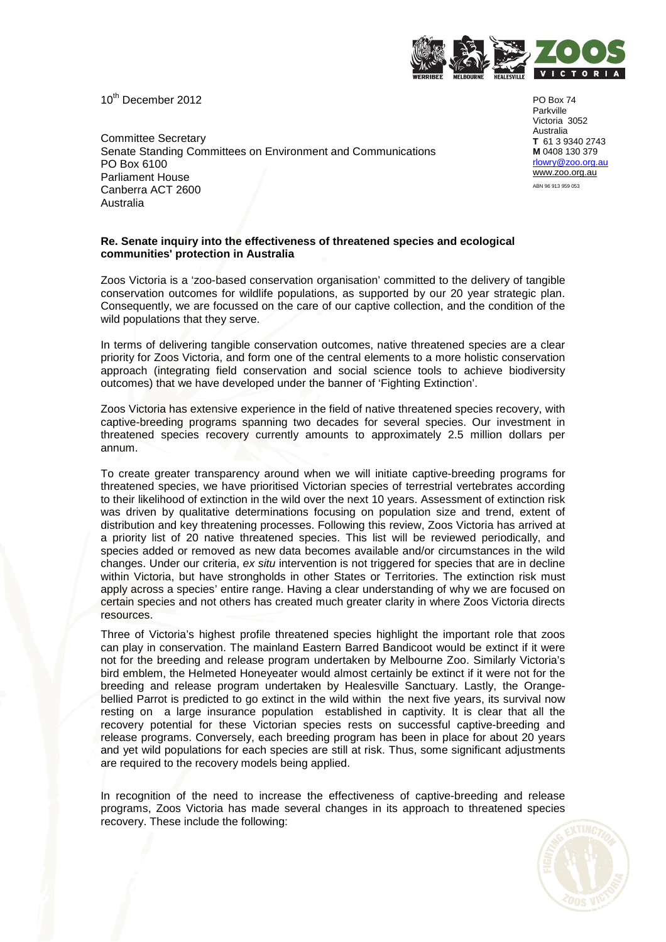10<sup>th</sup> December 2012



Committee Secretary Senate Standing Committees on Environment and Communications PO Box 6100 Parliament House Canberra ACT 2600 Australia

PO Box 74 Parkville Victoria 3052 Australia **T** 61 3 9340 2743 **M** 0408 130 379 rlowry@zoo.org.au www.zoo.org.au ABN 96 913 959 053

### **Re. Senate inquiry into the effectiveness of threatened species and ecological communities' protection in Australia**

Zoos Victoria is a 'zoo-based conservation organisation' committed to the delivery of tangible conservation outcomes for wildlife populations, as supported by our 20 year strategic plan. Consequently, we are focussed on the care of our captive collection, and the condition of the wild populations that they serve.

In terms of delivering tangible conservation outcomes, native threatened species are a clear priority for Zoos Victoria, and form one of the central elements to a more holistic conservation approach (integrating field conservation and social science tools to achieve biodiversity outcomes) that we have developed under the banner of 'Fighting Extinction'.

Zoos Victoria has extensive experience in the field of native threatened species recovery, with captive-breeding programs spanning two decades for several species. Our investment in threatened species recovery currently amounts to approximately 2.5 million dollars per annum.

To create greater transparency around when we will initiate captive-breeding programs for threatened species, we have prioritised Victorian species of terrestrial vertebrates according to their likelihood of extinction in the wild over the next 10 years. Assessment of extinction risk was driven by qualitative determinations focusing on population size and trend, extent of distribution and key threatening processes. Following this review, Zoos Victoria has arrived at a priority list of 20 native threatened species. This list will be reviewed periodically, and species added or removed as new data becomes available and/or circumstances in the wild changes. Under our criteria, ex situ intervention is not triggered for species that are in decline within Victoria, but have strongholds in other States or Territories. The extinction risk must apply across a species' entire range. Having a clear understanding of why we are focused on certain species and not others has created much greater clarity in where Zoos Victoria directs resources.

Three of Victoria's highest profile threatened species highlight the important role that zoos can play in conservation. The mainland Eastern Barred Bandicoot would be extinct if it were not for the breeding and release program undertaken by Melbourne Zoo. Similarly Victoria's bird emblem, the Helmeted Honeyeater would almost certainly be extinct if it were not for the breeding and release program undertaken by Healesville Sanctuary. Lastly, the Orangebellied Parrot is predicted to go extinct in the wild within the next five years, its survival now resting on a large insurance population established in captivity. It is clear that all the recovery potential for these Victorian species rests on successful captive-breeding and release programs. Conversely, each breeding program has been in place for about 20 years and yet wild populations for each species are still at risk. Thus, some significant adjustments are required to the recovery models being applied.

In recognition of the need to increase the effectiveness of captive-breeding and release programs, Zoos Victoria has made several changes in its approach to threatened species recovery. These include the following:

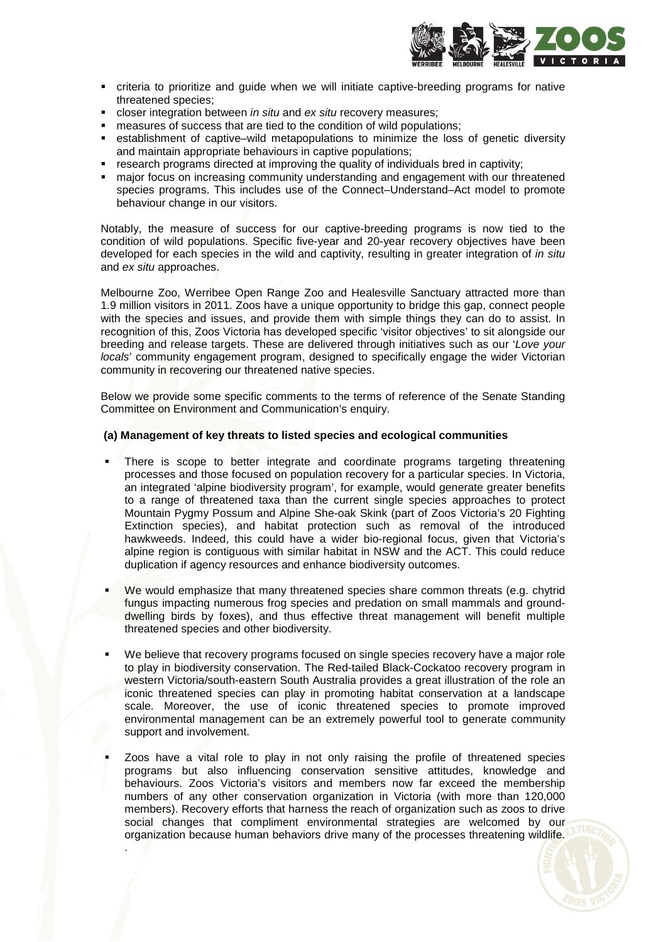

- criteria to prioritize and guide when we will initiate captive-breeding programs for native threatened species;
- closer integration between in situ and ex situ recovery measures;
- measures of success that are tied to the condition of wild populations;
- establishment of captive–wild metapopulations to minimize the loss of genetic diversity and maintain appropriate behaviours in captive populations;
- research programs directed at improving the quality of individuals bred in captivity;
- major focus on increasing community understanding and engagement with our threatened species programs. This includes use of the Connect–Understand–Act model to promote behaviour change in our visitors.

Notably, the measure of success for our captive-breeding programs is now tied to the condition of wild populations. Specific five-year and 20-year recovery objectives have been developed for each species in the wild and captivity, resulting in greater integration of in situ and ex situ approaches.

Melbourne Zoo, Werribee Open Range Zoo and Healesville Sanctuary attracted more than 1.9 million visitors in 2011. Zoos have a unique opportunity to bridge this gap, connect people with the species and issues, and provide them with simple things they can do to assist. In recognition of this, Zoos Victoria has developed specific 'visitor objectives' to sit alongside our breeding and release targets. These are delivered through initiatives such as our 'Love your locals' community engagement program, designed to specifically engage the wider Victorian community in recovering our threatened native species.

Below we provide some specific comments to the terms of reference of the Senate Standing Committee on Environment and Communication's enquiry.

### **(a) Management of key threats to listed species and ecological communities**

- There is scope to better integrate and coordinate programs targeting threatening processes and those focused on population recovery for a particular species. In Victoria, an integrated 'alpine biodiversity program', for example, would generate greater benefits to a range of threatened taxa than the current single species approaches to protect Mountain Pygmy Possum and Alpine She-oak Skink (part of Zoos Victoria's 20 Fighting Extinction species), and habitat protection such as removal of the introduced hawkweeds. Indeed, this could have a wider bio-regional focus, given that Victoria's alpine region is contiguous with similar habitat in NSW and the ACT. This could reduce duplication if agency resources and enhance biodiversity outcomes.
- We would emphasize that many threatened species share common threats (e.g. chytrid fungus impacting numerous frog species and predation on small mammals and grounddwelling birds by foxes), and thus effective threat management will benefit multiple threatened species and other biodiversity.
- We believe that recovery programs focused on single species recovery have a major role to play in biodiversity conservation. The Red-tailed Black-Cockatoo recovery program in western Victoria/south-eastern South Australia provides a great illustration of the role an iconic threatened species can play in promoting habitat conservation at a landscape scale. Moreover, the use of iconic threatened species to promote improved environmental management can be an extremely powerful tool to generate community support and involvement.
- Zoos have a vital role to play in not only raising the profile of threatened species programs but also influencing conservation sensitive attitudes, knowledge and behaviours. Zoos Victoria's visitors and members now far exceed the membership numbers of any other conservation organization in Victoria (with more than 120,000 members). Recovery efforts that harness the reach of organization such as zoos to drive social changes that compliment environmental strategies are welcomed by our organization because human behaviors drive many of the processes threatening wildlife.

.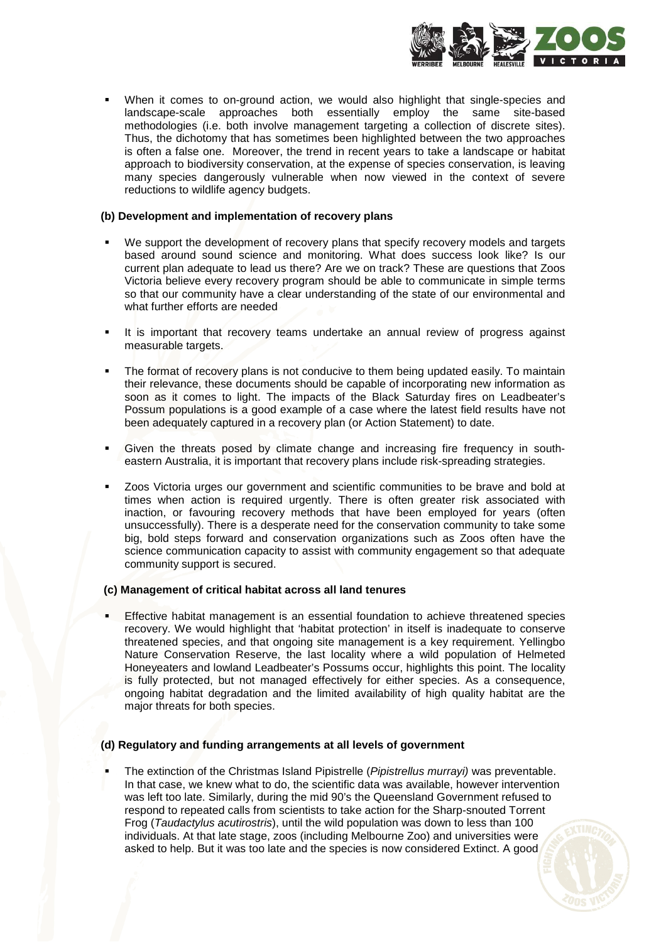

 When it comes to on-ground action, we would also highlight that single-species and landscape-scale approaches both essentially employ the same site-based methodologies (i.e. both involve management targeting a collection of discrete sites). Thus, the dichotomy that has sometimes been highlighted between the two approaches is often a false one. Moreover, the trend in recent years to take a landscape or habitat approach to biodiversity conservation, at the expense of species conservation, is leaving many species dangerously vulnerable when now viewed in the context of severe reductions to wildlife agency budgets.

### **(b) Development and implementation of recovery plans**

- We support the development of recovery plans that specify recovery models and targets based around sound science and monitoring. What does success look like? Is our current plan adequate to lead us there? Are we on track? These are questions that Zoos Victoria believe every recovery program should be able to communicate in simple terms so that our community have a clear understanding of the state of our environmental and what further efforts are needed
- It is important that recovery teams undertake an annual review of progress against measurable targets.
- The format of recovery plans is not conducive to them being updated easily. To maintain their relevance, these documents should be capable of incorporating new information as soon as it comes to light. The impacts of the Black Saturday fires on Leadbeater's Possum populations is a good example of a case where the latest field results have not been adequately captured in a recovery plan (or Action Statement) to date.
- Given the threats posed by climate change and increasing fire frequency in southeastern Australia, it is important that recovery plans include risk-spreading strategies.
- Zoos Victoria urges our government and scientific communities to be brave and bold at times when action is required urgently. There is often greater risk associated with inaction, or favouring recovery methods that have been employed for years (often unsuccessfully). There is a desperate need for the conservation community to take some big, bold steps forward and conservation organizations such as Zoos often have the science communication capacity to assist with community engagement so that adequate community support is secured.

### **(c) Management of critical habitat across all land tenures**

 Effective habitat management is an essential foundation to achieve threatened species recovery. We would highlight that 'habitat protection' in itself is inadequate to conserve threatened species, and that ongoing site management is a key requirement. Yellingbo Nature Conservation Reserve, the last locality where a wild population of Helmeted Honeyeaters and lowland Leadbeater's Possums occur, highlights this point. The locality is fully protected, but not managed effectively for either species. As a consequence, ongoing habitat degradation and the limited availability of high quality habitat are the major threats for both species.

# **(d) Regulatory and funding arrangements at all levels of government**

The extinction of the Christmas Island Pipistrelle (Pipistrellus murrayi) was preventable. In that case, we knew what to do, the scientific data was available, however intervention was left too late. Similarly, during the mid 90's the Queensland Government refused to respond to repeated calls from scientists to take action for the Sharp-snouted Torrent Frog (Taudactylus acutirostris), until the wild population was down to less than 100 individuals. At that late stage, zoos (including Melbourne Zoo) and universities were asked to help. But it was too late and the species is now considered Extinct. A good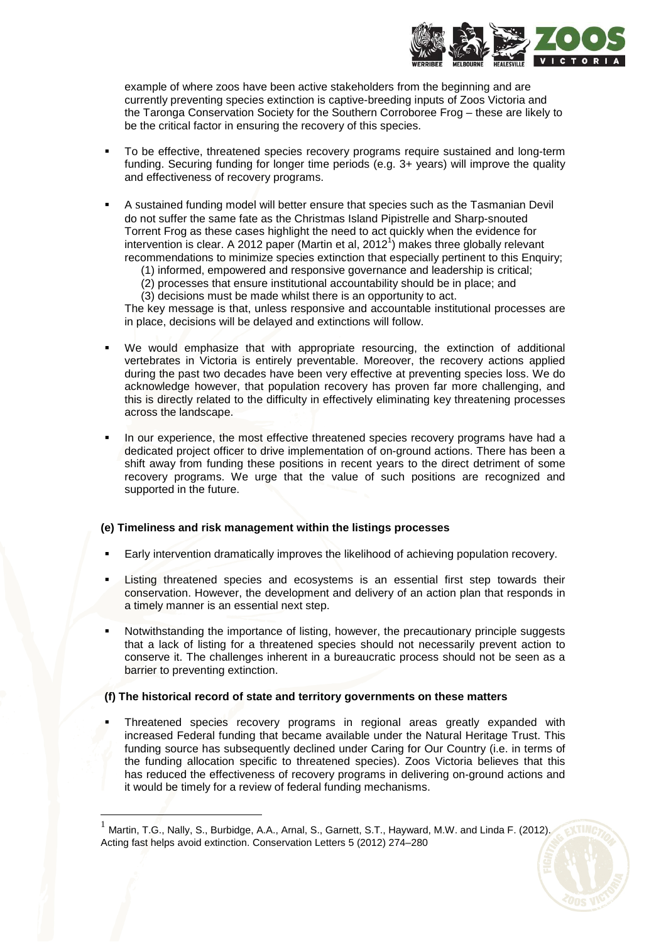

example of where zoos have been active stakeholders from the beginning and are currently preventing species extinction is captive-breeding inputs of Zoos Victoria and the Taronga Conservation Society for the Southern Corroboree Frog – these are likely to be the critical factor in ensuring the recovery of this species.

- To be effective, threatened species recovery programs require sustained and long-term funding. Securing funding for longer time periods (e.g. 3+ years) will improve the quality and effectiveness of recovery programs.
- A sustained funding model will better ensure that species such as the Tasmanian Devil do not suffer the same fate as the Christmas Island Pipistrelle and Sharp-snouted Torrent Frog as these cases highlight the need to act quickly when the evidence for intervention is clear. A 2012 paper (Martin et al, 2012<sup>1</sup>) makes three globally relevant recommendations to minimize species extinction that especially pertinent to this Enquiry;
	- (1) informed, empowered and responsive governance and leadership is critical;
	- (2) processes that ensure institutional accountability should be in place; and
	- (3) decisions must be made whilst there is an opportunity to act.

The key message is that, unless responsive and accountable institutional processes are in place, decisions will be delayed and extinctions will follow.

- We would emphasize that with appropriate resourcing, the extinction of additional vertebrates in Victoria is entirely preventable. Moreover, the recovery actions applied during the past two decades have been very effective at preventing species loss. We do acknowledge however, that population recovery has proven far more challenging, and this is directly related to the difficulty in effectively eliminating key threatening processes across the landscape.
- In our experience, the most effective threatened species recovery programs have had a dedicated project officer to drive implementation of on-ground actions. There has been a shift away from funding these positions in recent years to the direct detriment of some recovery programs. We urge that the value of such positions are recognized and supported in the future.

### **(e) Timeliness and risk management within the listings processes**

- Early intervention dramatically improves the likelihood of achieving population recovery.
- Listing threatened species and ecosystems is an essential first step towards their conservation. However, the development and delivery of an action plan that responds in a timely manner is an essential next step.
- Notwithstanding the importance of listing, however, the precautionary principle suggests that a lack of listing for a threatened species should not necessarily prevent action to conserve it. The challenges inherent in a bureaucratic process should not be seen as a barrier to preventing extinction.

## **(f) The historical record of state and territory governments on these matters**

 Threatened species recovery programs in regional areas greatly expanded with increased Federal funding that became available under the Natural Heritage Trust. This funding source has subsequently declined under Caring for Our Country (i.e. in terms of the funding allocation specific to threatened species). Zoos Victoria believes that this has reduced the effectiveness of recovery programs in delivering on-ground actions and it would be timely for a review of federal funding mechanisms.

 $\overline{a}$ 

 $^1$  Martin, T.G., Nally, S., Burbidge, A.A., Arnal, S., Garnett, S.T., Hayward, M.W. and Linda F. (2012). Acting fast helps avoid extinction. Conservation Letters 5 (2012) 274–280